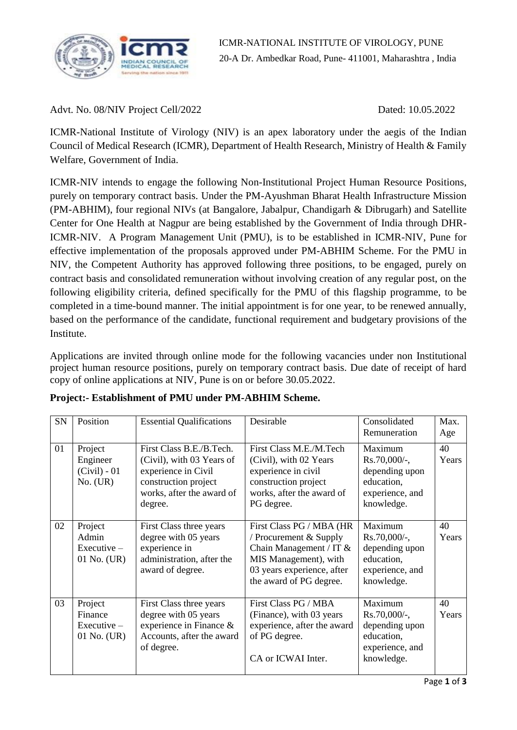

Advt. No. 08/NIV Project Cell/2022 Dated: 10.05.2022

ICMR-National Institute of Virology (NIV) is an apex laboratory under the aegis of the Indian Council of Medical Research (ICMR), Department of Health Research, Ministry of Health & Family Welfare, Government of India.

ICMR-NIV intends to engage the following Non-Institutional Project Human Resource Positions, purely on temporary contract basis. Under the PM-Ayushman Bharat Health Infrastructure Mission (PM-ABHIM), four regional NIVs (at Bangalore, Jabalpur, Chandigarh & Dibrugarh) and Satellite Center for One Health at Nagpur are being established by the Government of India through DHR-ICMR-NIV. A Program Management Unit (PMU), is to be established in ICMR-NIV, Pune for effective implementation of the proposals approved under PM-ABHIM Scheme. For the PMU in NIV, the Competent Authority has approved following three positions, to be engaged, purely on contract basis and consolidated remuneration without involving creation of any regular post, on the following eligibility criteria, defined specifically for the PMU of this flagship programme, to be completed in a time-bound manner. The initial appointment is for one year, to be renewed annually, based on the performance of the candidate, functional requirement and budgetary provisions of the Institute.

Applications are invited through online mode for the following vacancies under non Institutional project human resource positions, purely on temporary contract basis. Due date of receipt of hard copy of online applications at NIV, Pune is on or before 30.05.2022.

| SN | Position                                           | <b>Essential Qualifications</b>                                                                                                              | Desirable                                                                                                                                                           | Consolidated<br>Remuneration                                                                | Max.<br>Age |
|----|----------------------------------------------------|----------------------------------------------------------------------------------------------------------------------------------------------|---------------------------------------------------------------------------------------------------------------------------------------------------------------------|---------------------------------------------------------------------------------------------|-------------|
| 01 | Project<br>Engineer<br>$(Civil) - 01$<br>No. (UR)  | First Class B.E./B.Tech.<br>(Civil), with 03 Years of<br>experience in Civil<br>construction project<br>works, after the award of<br>degree. | First Class M.E./M.Tech<br>(Civil), with 02 Years<br>experience in civil<br>construction project<br>works, after the award of<br>PG degree.                         | Maximum<br>Rs.70,000/-,<br>depending upon<br>education,<br>experience, and<br>knowledge.    | 40<br>Years |
| 02 | Project<br>Admin<br>$Executive -$<br>$01$ No. (UR) | First Class three years<br>degree with 05 years<br>experience in<br>administration, after the<br>award of degree.                            | First Class PG / MBA (HR<br>/ Procurement $&$ Supply<br>Chain Management / IT $&$<br>MIS Management), with<br>03 years experience, after<br>the award of PG degree. | Maximum<br>$Rs.70,000/$ -,<br>depending upon<br>education,<br>experience, and<br>knowledge. | 40<br>Years |
| 03 | Project<br>Finance<br>$Execute -$<br>$01$ No. (UR) | First Class three years<br>degree with 05 years<br>experience in Finance $\&$<br>Accounts, after the award<br>of degree.                     | First Class PG / MBA<br>(Finance), with 03 years<br>experience, after the award<br>of PG degree.<br>CA or ICWAI Inter.                                              | Maximum<br>$Rs.70,000/-,$<br>depending upon<br>education,<br>experience, and<br>knowledge.  | 40<br>Years |

|  | Project:- Establishment of PMU under PM-ABHIM Scheme. |  |  |  |  |  |
|--|-------------------------------------------------------|--|--|--|--|--|
|--|-------------------------------------------------------|--|--|--|--|--|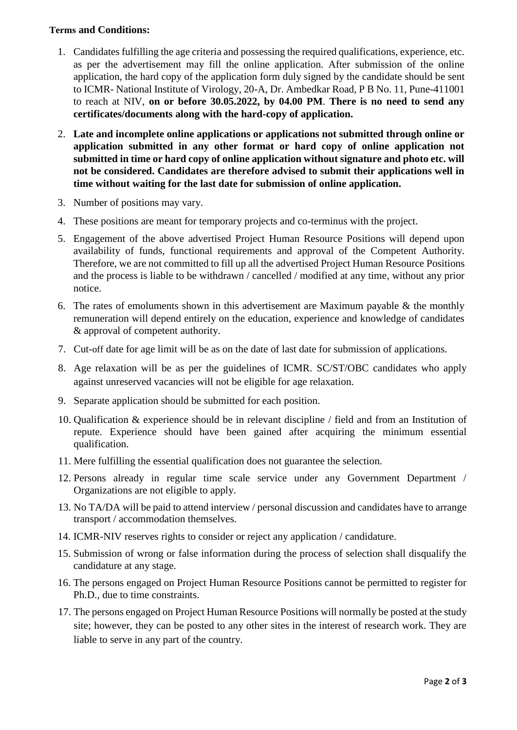## **Terms and Conditions:**

- 1. Candidates fulfilling the age criteria and possessing the required qualifications, experience, etc. as per the advertisement may fill the online application. After submission of the online application, the hard copy of the application form duly signed by the candidate should be sent to ICMR- National Institute of Virology, 20-A, Dr. Ambedkar Road, P B No. 11, Pune-411001 to reach at NIV, **on or before 30.05.2022, by 04.00 PM**. **There is no need to send any certificates/documents along with the hard-copy of application.**
- 2. **Late and incomplete online applications or applications not submitted through online or application submitted in any other format or hard copy of online application not submitted in time or hard copy of online application without signature and photo etc. will not be considered. Candidates are therefore advised to submit their applications well in time without waiting for the last date for submission of online application.**
- 3. Number of positions may vary.
- 4. These positions are meant for temporary projects and co-terminus with the project.
- 5. Engagement of the above advertised Project Human Resource Positions will depend upon availability of funds, functional requirements and approval of the Competent Authority. Therefore, we are not committed to fill up all the advertised Project Human Resource Positions and the process is liable to be withdrawn / cancelled / modified at any time, without any prior notice.
- 6. The rates of emoluments shown in this advertisement are Maximum payable  $\&$  the monthly remuneration will depend entirely on the education, experience and knowledge of candidates & approval of competent authority.
- 7. Cut-off date for age limit will be as on the date of last date for submission of applications.
- 8. Age relaxation will be as per the guidelines of ICMR. SC/ST/OBC candidates who apply against unreserved vacancies will not be eligible for age relaxation.
- 9. Separate application should be submitted for each position.
- 10. Qualification & experience should be in relevant discipline / field and from an Institution of repute. Experience should have been gained after acquiring the minimum essential qualification.
- 11. Mere fulfilling the essential qualification does not guarantee the selection.
- 12. Persons already in regular time scale service under any Government Department / Organizations are not eligible to apply.
- 13. No TA/DA will be paid to attend interview / personal discussion and candidates have to arrange transport / accommodation themselves.
- 14. ICMR-NIV reserves rights to consider or reject any application / candidature.
- 15. Submission of wrong or false information during the process of selection shall disqualify the candidature at any stage.
- 16. The persons engaged on Project Human Resource Positions cannot be permitted to register for Ph.D., due to time constraints.
- 17. The persons engaged on Project Human Resource Positions will normally be posted at the study site; however, they can be posted to any other sites in the interest of research work. They are liable to serve in any part of the country.